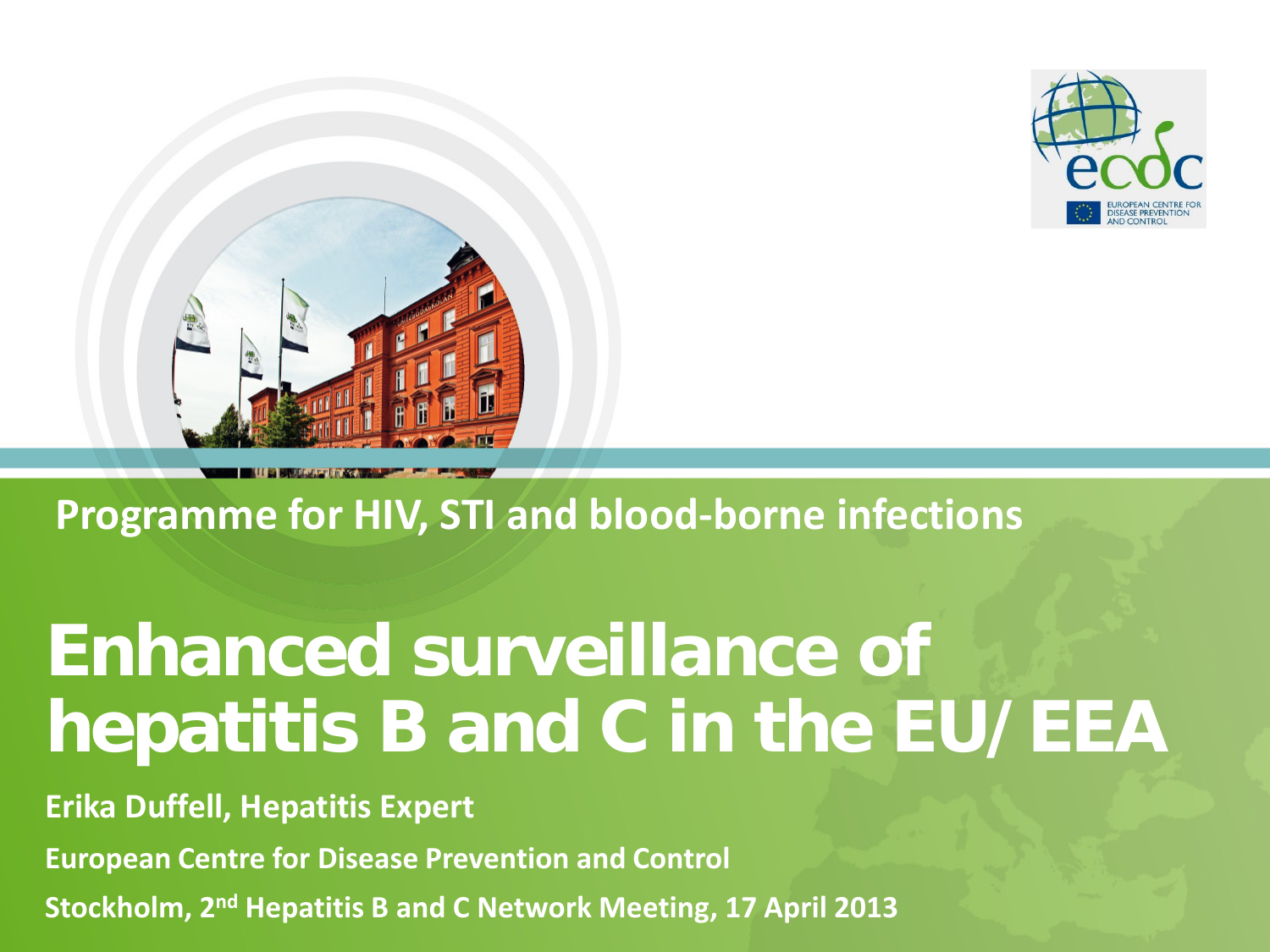



#### **Programme for HIV, STI and blood-borne infections**

# **Enhanced surveillance of hepatitis B and C in the EU/EEA**

**Erika Duffell, Hepatitis Expert** 

**European Centre for Disease Prevention and Control**

**Stockholm, 2nd Hepatitis B and C Network Meeting, 17 April 2013**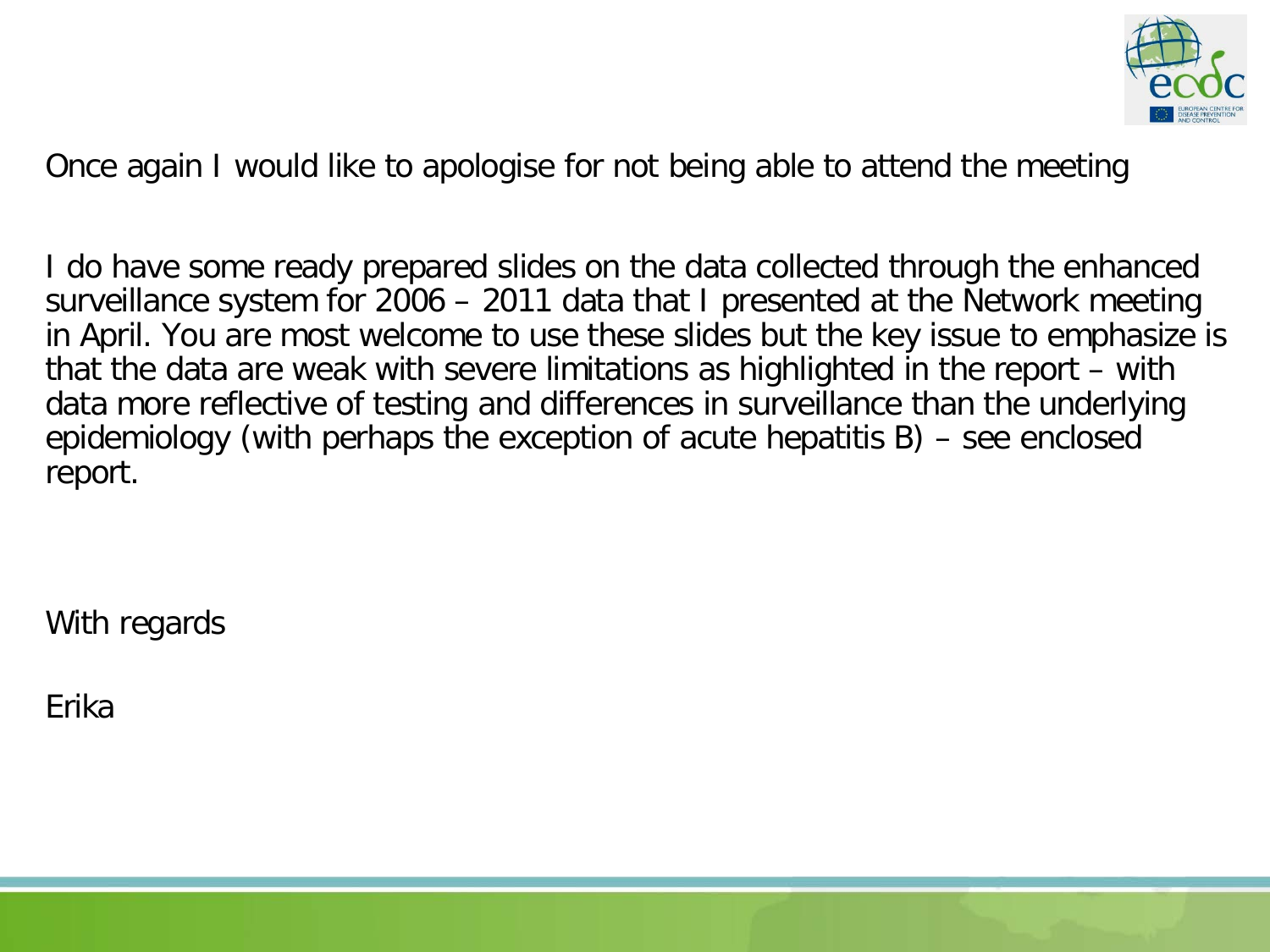

Once again I would like to apologise for not being able to attend the meeting

I do have some ready prepared slides on the data collected through the enhanced surveillance system for 2006 – 2011 data that I presented at the Network meeting in April. You are most welcome to use these slides but the key issue to emphasize is that the data are weak with severe limitations as highlighted in the report – with data more reflective of testing and differences in surveillance than the underlying epidemiology (with perhaps the exception of acute hepatitis B) – see enclosed report.

With regards

Erika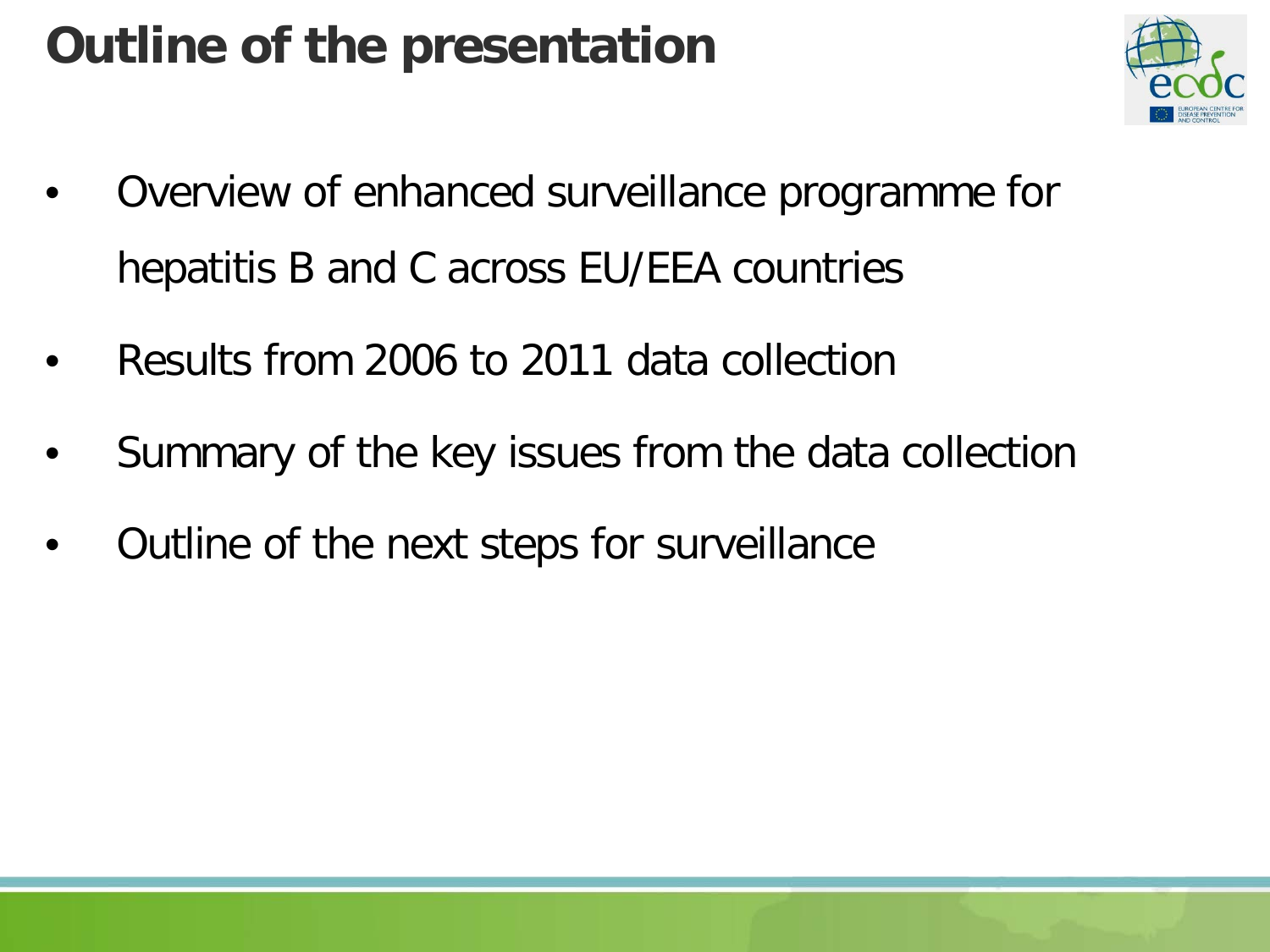## **Outline of the presentation**



- Overview of enhanced surveillance programme for hepatitis B and C across EU/EEA countries
- Results from 2006 to 2011 data collection
- Summary of the key issues from the data collection
- Outline of the next steps for surveillance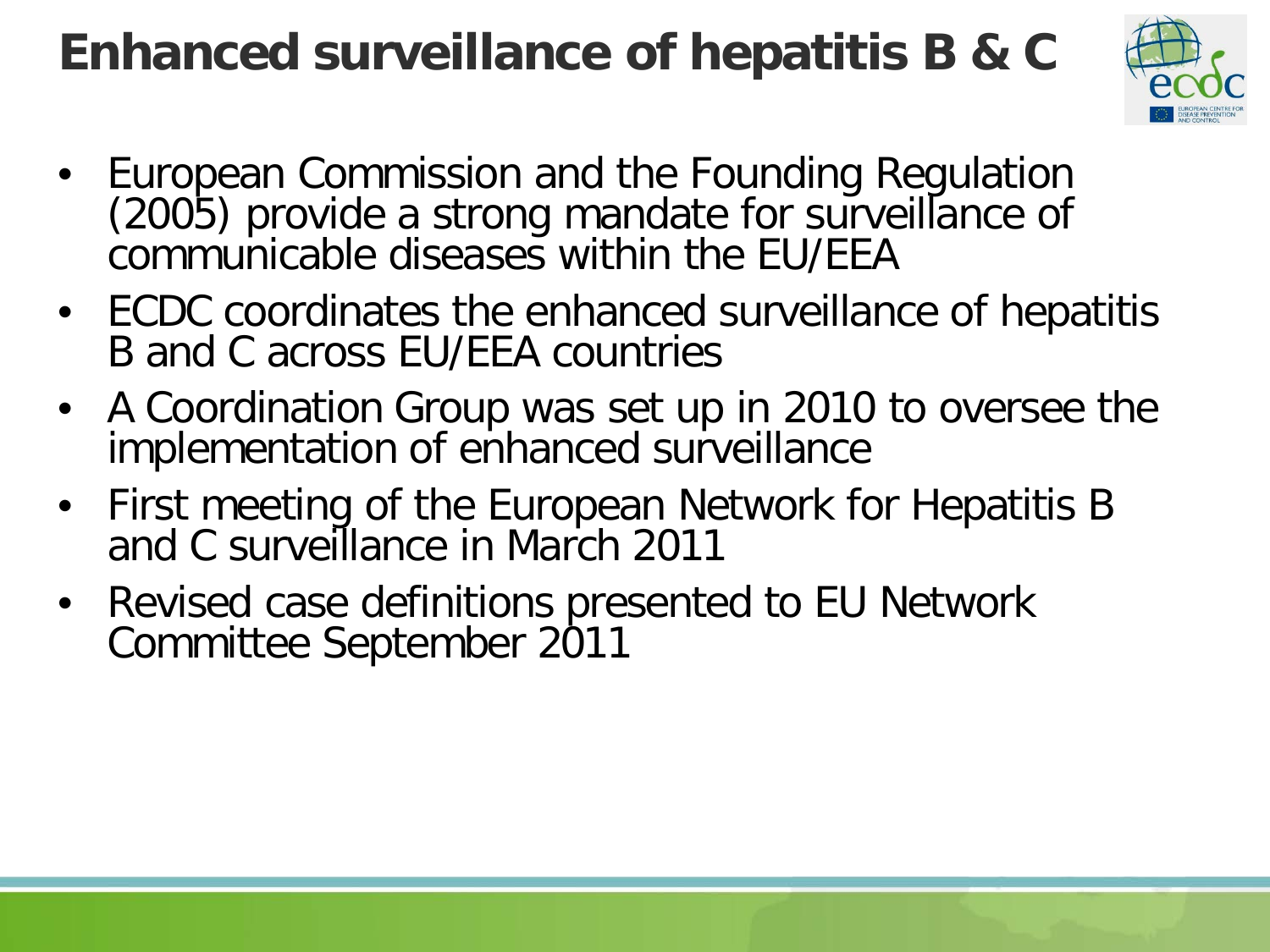#### **Enhanced surveillance of hepatitis B & C**



- European Commission and the Founding Regulation (2005) provide a strong mandate for surveillance of communicable diseases within the EU/EEA
- ECDC coordinates the enhanced surveillance of hepatitis B and C across EU/EEA countries
- A Coordination Group was set up in 2010 to oversee the implementation of enhanced surveillance
- First meeting of the European Network for Hepatitis B and C surveillance in March 2011
- Revised case definitions presented to EU Network Committee September 2011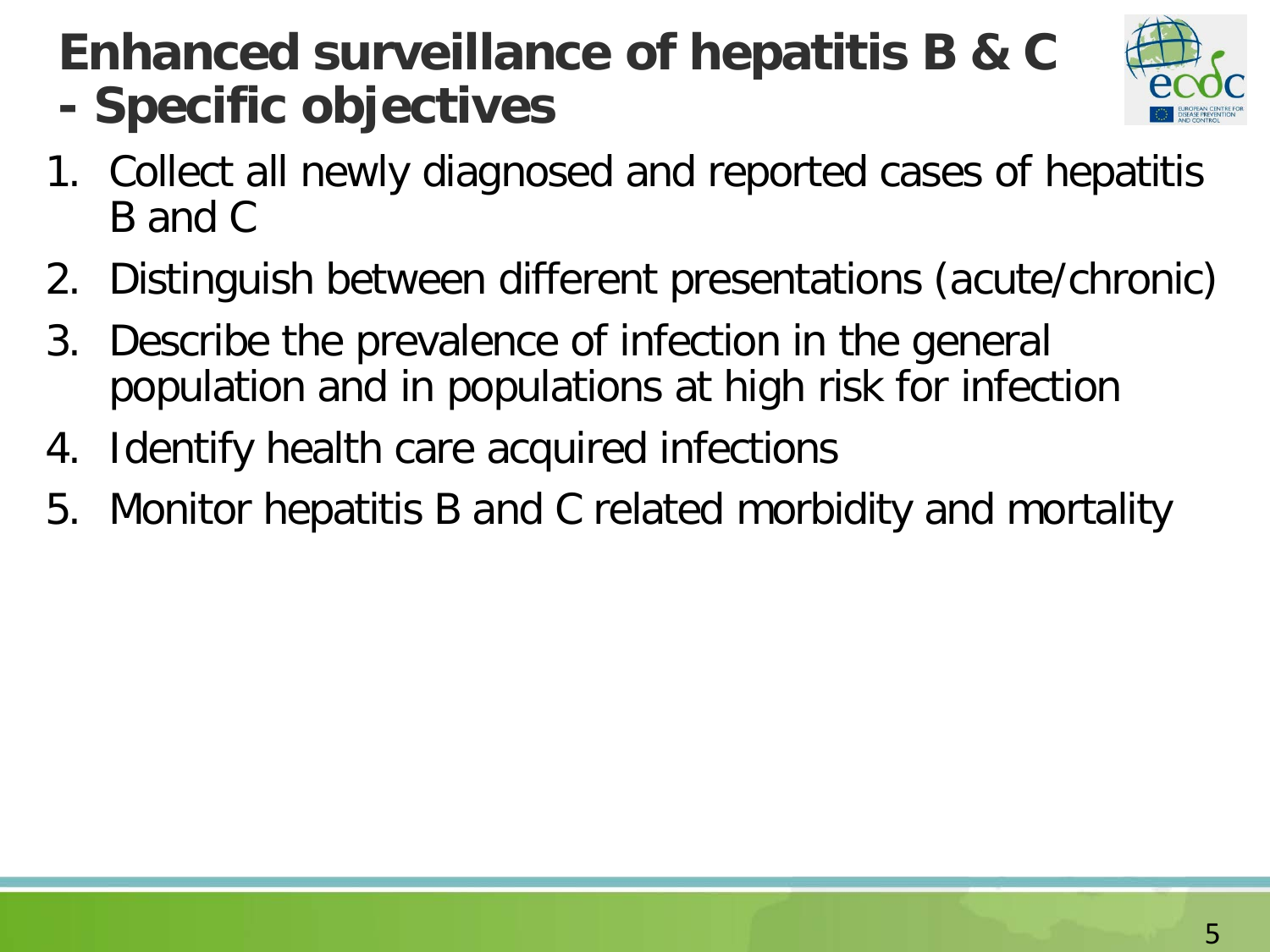## **Enhanced surveillance of hepatitis B & C - Specific objectives**



- 1. Collect all newly diagnosed and reported cases of hepatitis B and C
- 2. Distinguish between different presentations (acute/chronic)
- 3. Describe the prevalence of infection in the general population and in populations at high risk for infection
- 4. Identify health care acquired infections
- 5. Monitor hepatitis B and C related morbidity and mortality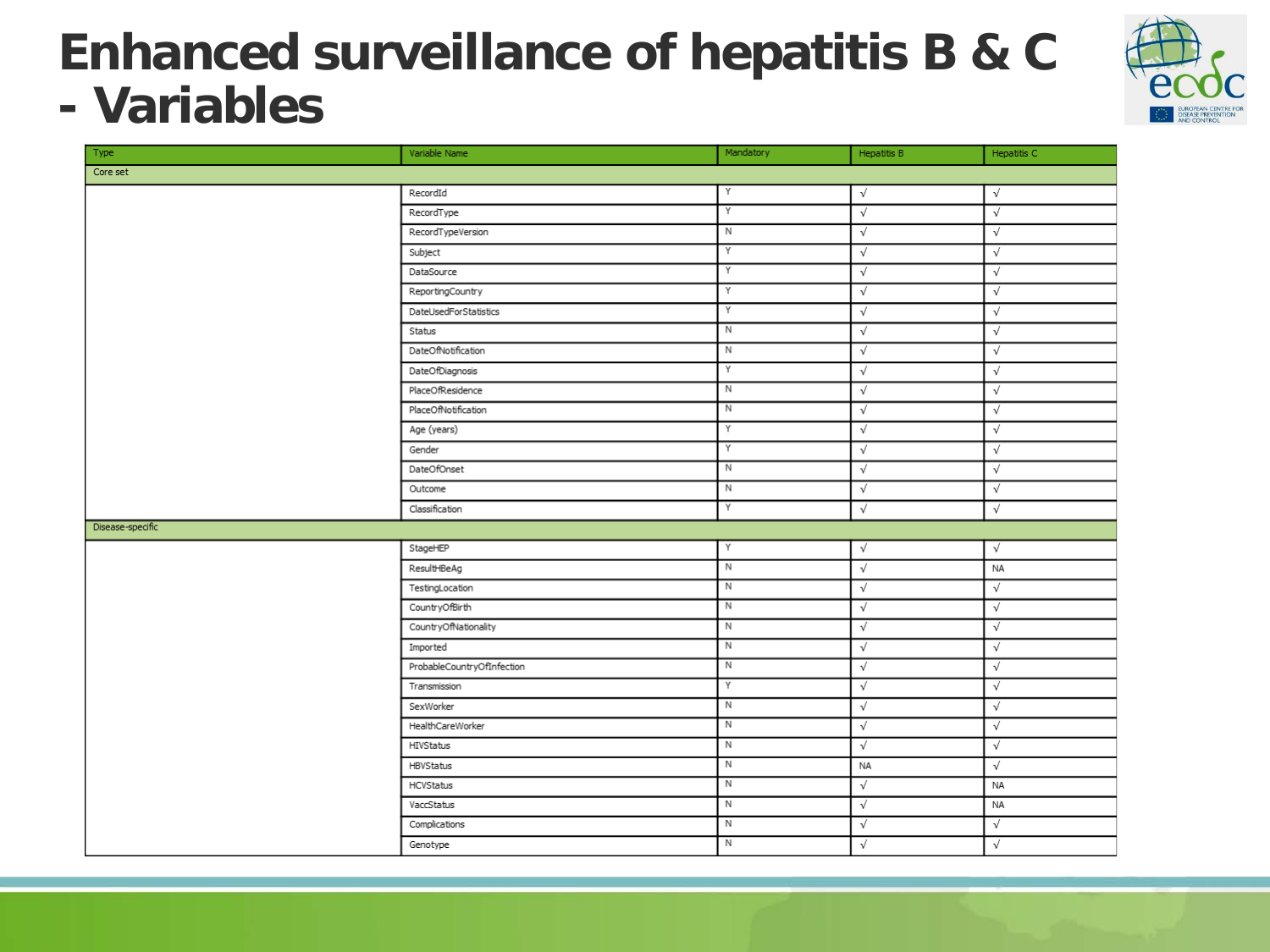#### **Enhanced surveillance of hepatitis B & C - Variables**



| Type             | Variable Name              | Mandatory      | Hepatitis B | Hepatitis C  |
|------------------|----------------------------|----------------|-------------|--------------|
| Core set         |                            |                |             |              |
|                  | RecordId                   | Y              | $\sqrt{}$   | $\sqrt{}$    |
|                  | RecordType                 | Y              | $\sqrt{ }$  | $\sqrt{}$    |
|                  | RecordTypeVersion          | N              | $\sqrt{}$   | $\sqrt{}$    |
|                  | Subject                    | Y              | $\sqrt{}$   | $\sqrt{}$    |
|                  | DataSource                 | Y              | $\sqrt{}$   | $\sqrt{}$    |
|                  | ReportingCountry           | Y              | $\sqrt{}$   | $\checkmark$ |
|                  | DateUsedForStatistics      | Y              | $\sqrt{}$   | $\sqrt{}$    |
|                  | Status                     | N              | $\sqrt{}$   | $\sqrt{}$    |
|                  | DateOfNotification         | $\overline{N}$ | $\sqrt{}$   | $\sqrt{}$    |
|                  | DateOfDiagnosis            | Y              | $\sqrt{}$   | $\sqrt{}$    |
|                  | PlaceOfResidence           | $\overline{N}$ | $\sqrt{}$   | $\sqrt{}$    |
|                  | PlaceOfNotification        | N              | $\sqrt{}$   | $\sqrt{}$    |
|                  | Age (years)                | Y              | $\sqrt{}$   | $\checkmark$ |
|                  | Gender                     | Y              | $\sqrt{}$   | $\sqrt{}$    |
|                  | DateOfOnset                | N              | $\sqrt{}$   | $\sqrt{}$    |
|                  | Outcome                    | $\mathbb N$    | $\sqrt{ }$  | $\sqrt{}$    |
|                  | Classification             | Υ              | $\sqrt{}$   | $\sqrt{}$    |
| Disease-specific |                            |                |             |              |
|                  | StageHEP                   | Y              | $\sqrt{}$   | $\sqrt{}$    |
|                  | ResultHBeAg                | $\overline{N}$ | $\sqrt{}$   | NA           |
|                  | TestingLocation            | $\overline{N}$ | $\sqrt{}$   | $\sqrt{}$    |
|                  | CountryOfBirth             | N              | $\sqrt{}$   | $\sqrt{}$    |
|                  | CountryOfNationality       | $\mathbb N$    | $\sqrt{}$   | $\sqrt{}$    |
|                  | Imported                   | $\overline{N}$ | $\sqrt{}$   | $\sqrt{}$    |
|                  | ProbableCountryOfInfection | $\overline{N}$ | $\sqrt{}$   | $\sqrt{}$    |
|                  | Transmission               | Y              | $\sqrt{}$   | $\sqrt{}$    |
|                  | SexWorker                  | N              | $\sqrt{}$   | $\sqrt{}$    |
|                  | HealthCareWorker           | N              | $\sqrt{}$   | $\sqrt{}$    |
|                  | HIVStatus                  | N              | $\sqrt{}$   | $\checkmark$ |
|                  | HBVStatus                  | $\mathbb N$    | NA          | $\sqrt{}$    |
|                  | <b>HCVStatus</b>           | $\overline{N}$ | $\sqrt{}$   | NA           |
|                  | VaccStatus                 | N              | $\sqrt{}$   | NA           |
|                  | Complications              | N              | $\sqrt{}$   | $\checkmark$ |
|                  | Genotype                   | $\overline{N}$ | $\sqrt{}$   | $\sqrt{}$    |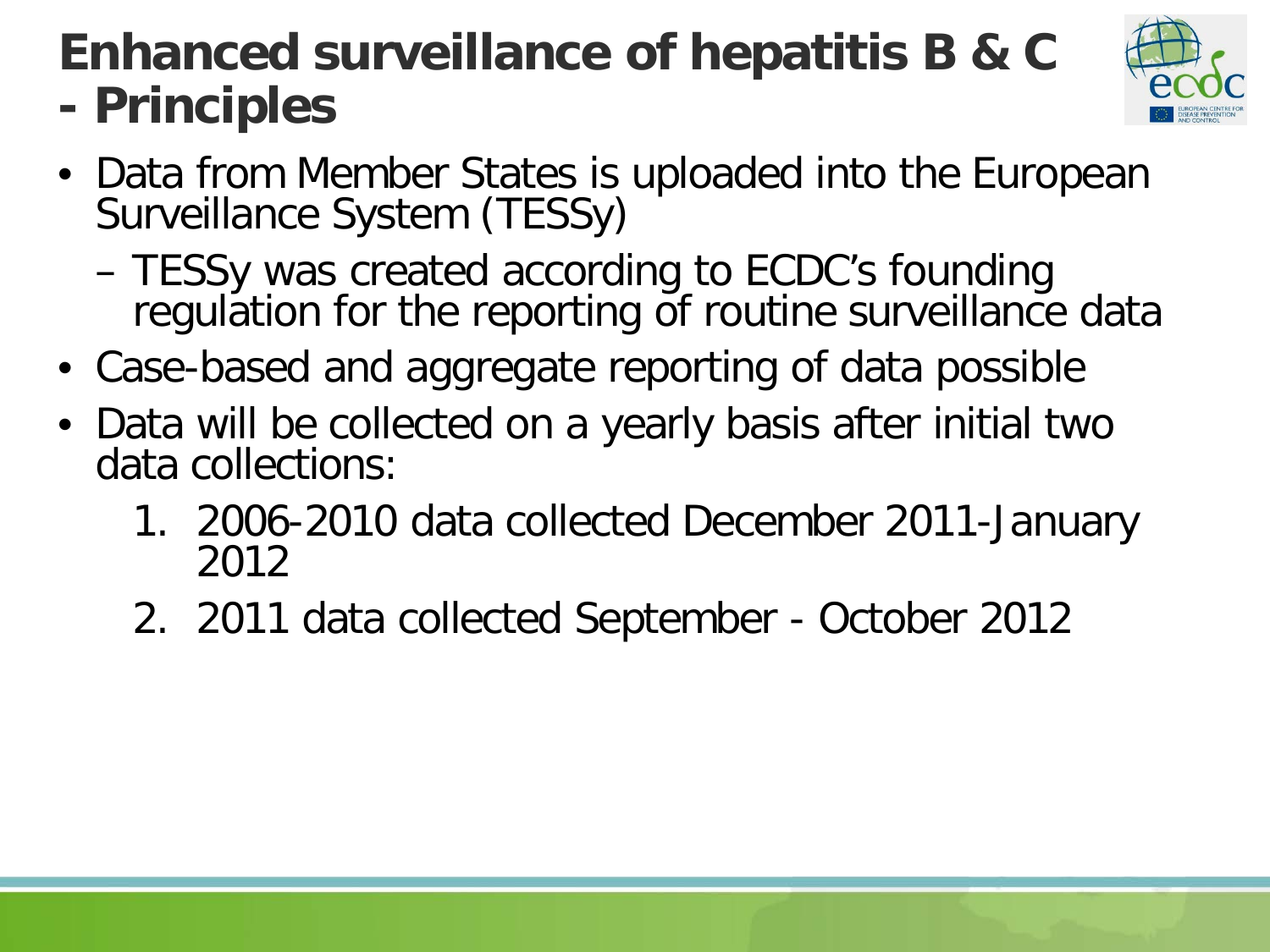#### **Enhanced surveillance of hepatitis B & C - Principles**



- Data from Member States is uploaded into the European Surveillance System (TESSy)
	- TESSy was created according to ECDC's founding regulation for the reporting of routine surveillance data
- Case-based and aggregate reporting of data possible
- Data will be collected on a yearly basis after initial two data collections:
	- 1. 2006-2010 data collected December 2011-January 2012
	- 2. 2011 data collected September October 2012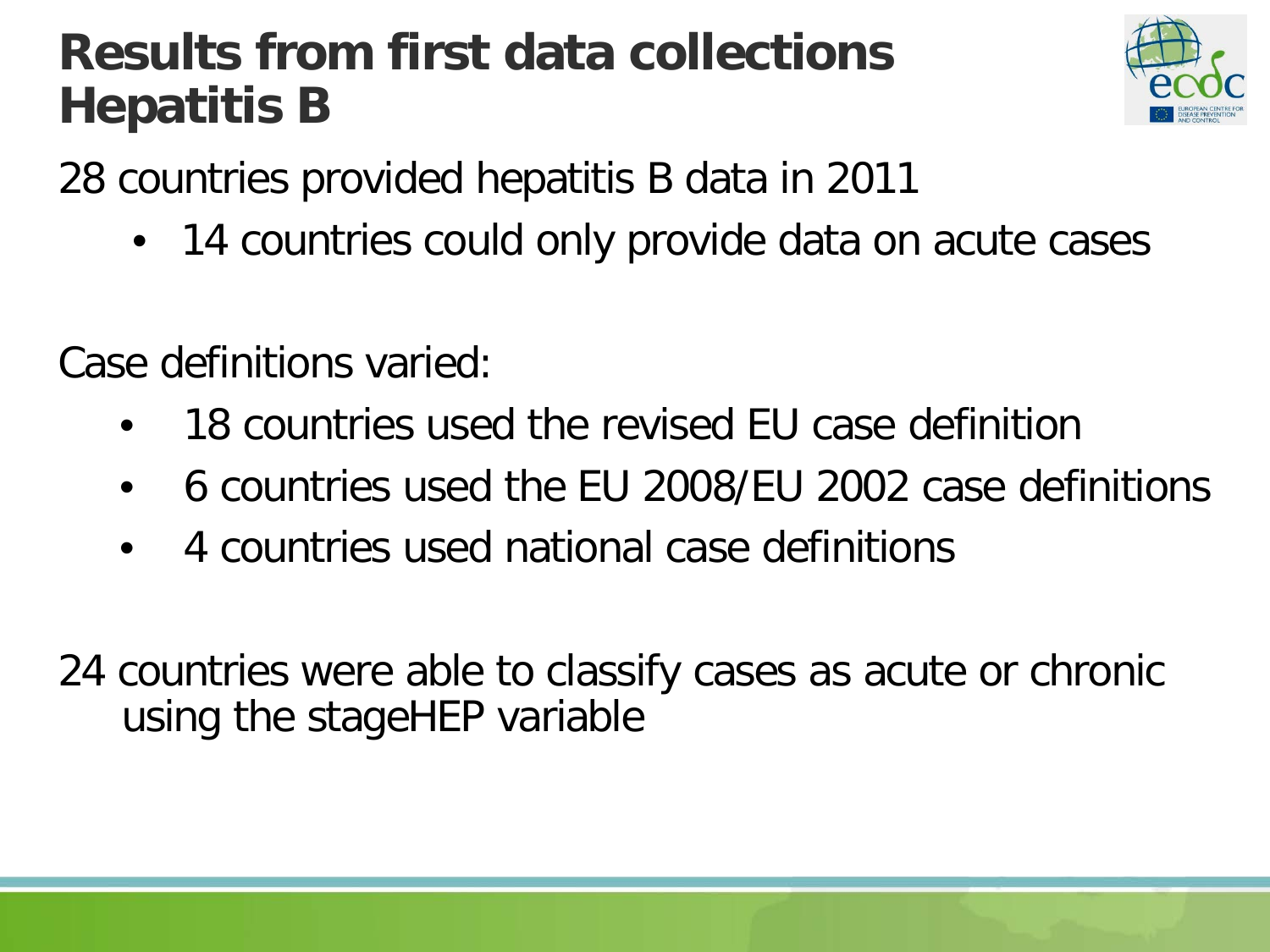#### **Results from first data collections Hepatitis B**



28 countries provided hepatitis B data in 2011

• 14 countries could only provide data on acute cases

Case definitions varied:

- 18 countries used the revised EU case definition
- 6 countries used the EU 2008/EU 2002 case definitions
- 4 countries used national case definitions
- 24 countries were able to classify cases as acute or chronic using the stageHEP variable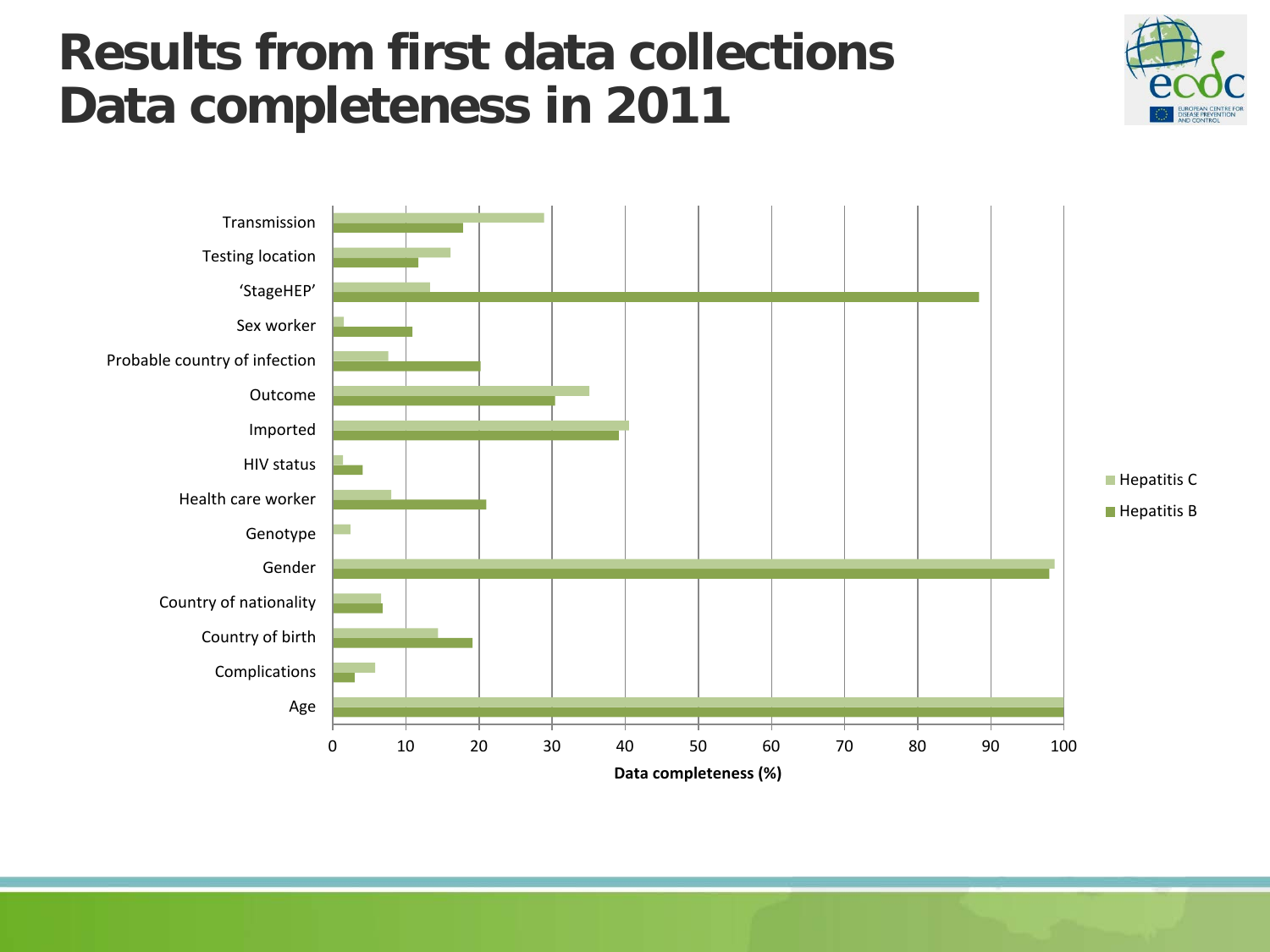#### **Results from first data collections Data completeness in 2011**



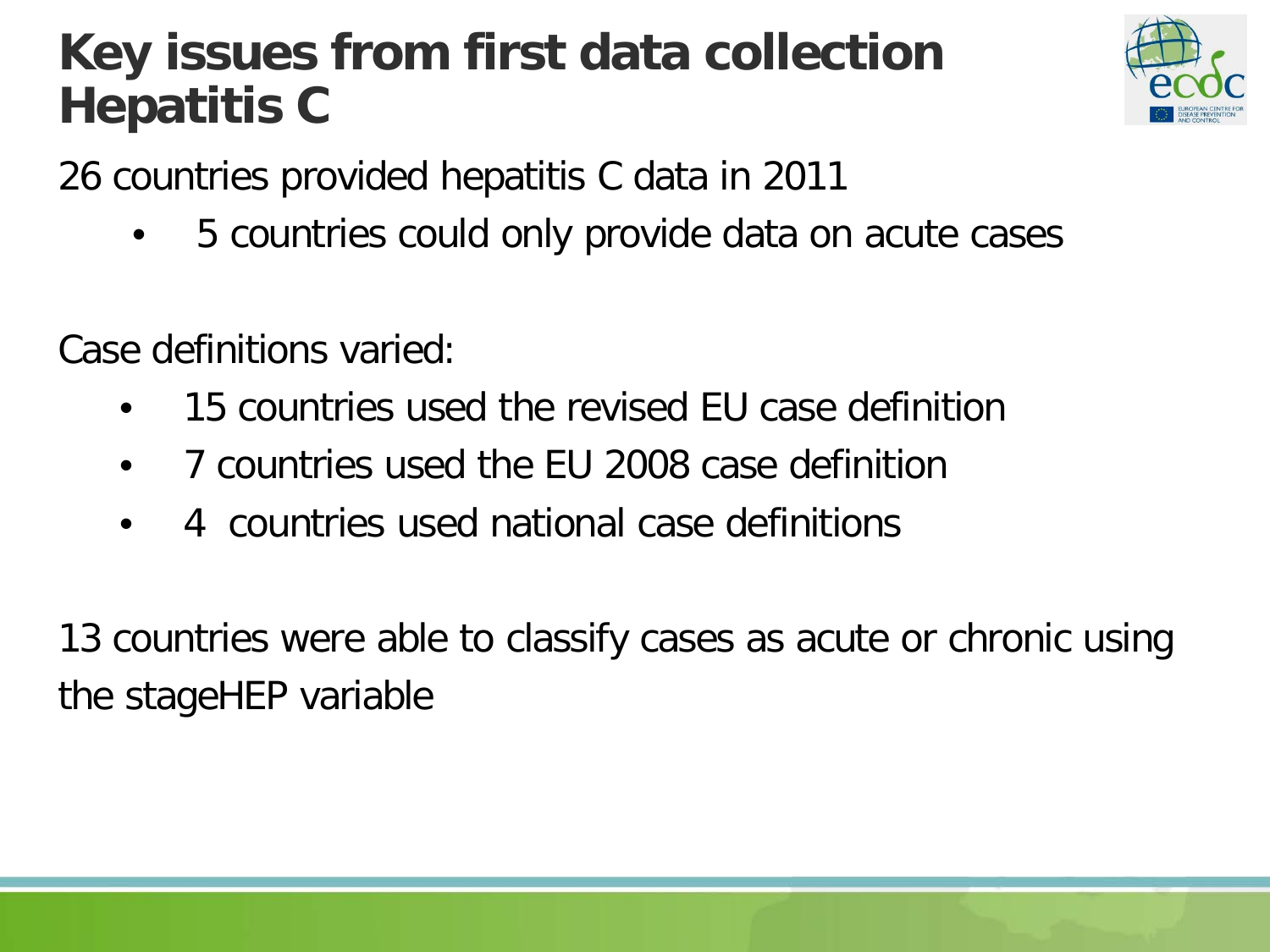#### **Key issues from first data collection Hepatitis C**



26 countries provided hepatitis C data in 2011

• 5 countries could only provide data on acute cases

Case definitions varied:

- 15 countries used the revised EU case definition
- 7 countries used the EU 2008 case definition
- 4 countries used national case definitions

13 countries were able to classify cases as acute or chronic using the stageHEP variable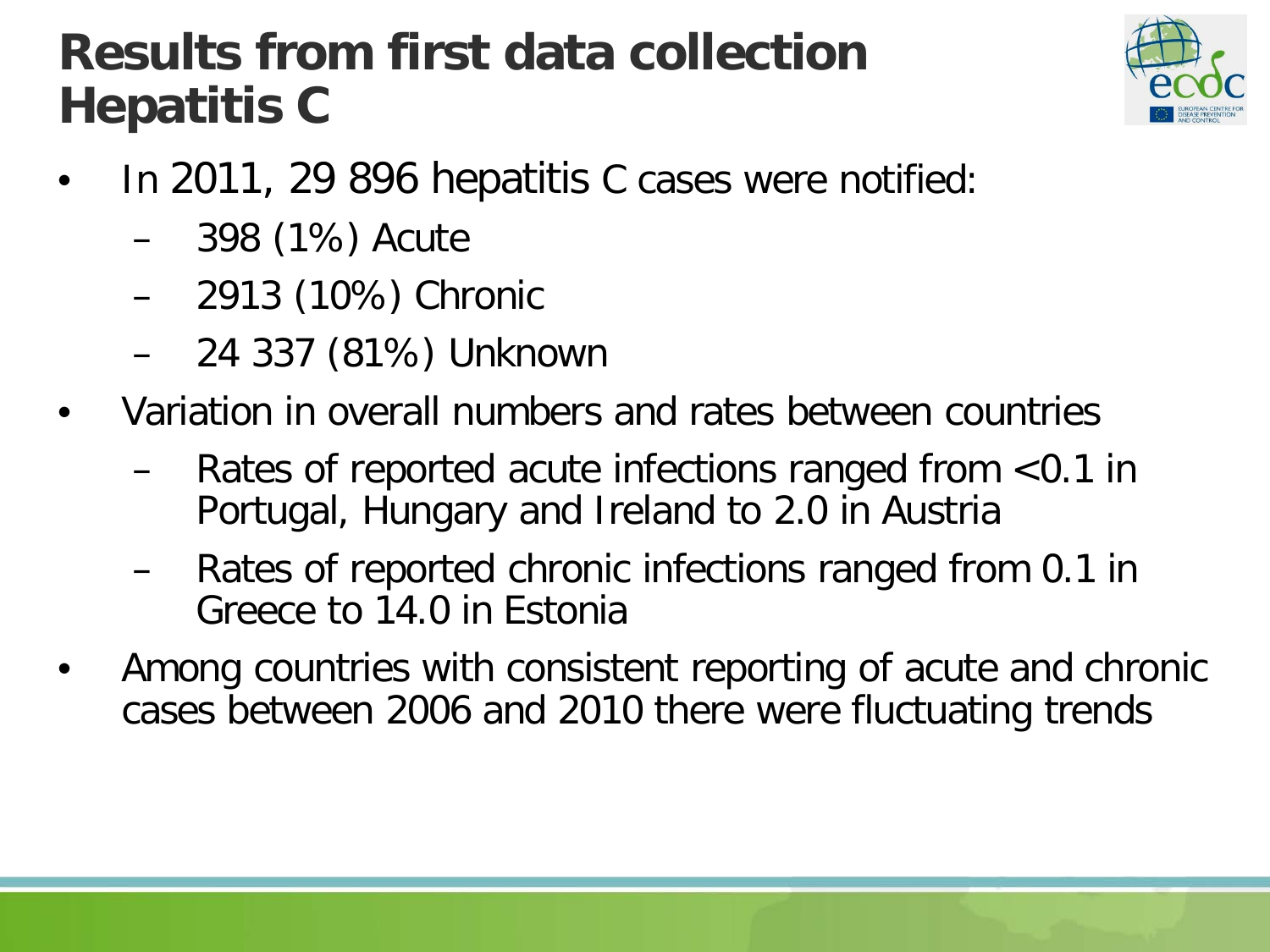#### **Results from first data collection Hepatitis C**



- In 2011, 29 896 hepatitis C cases were notified:
	- 398 (1%) Acute
	- 2913 (10%) Chronic
	- 24 337 (81%) Unknown
- Variation in overall numbers and rates between countries
	- Rates of reported acute infections ranged from  $<$ 0.1 in Portugal, Hungary and Ireland to 2.0 in Austria
	- Rates of reported chronic infections ranged from 0.1 in Greece to 14.0 in Estonia
- Among countries with consistent reporting of acute and chronic cases between 2006 and 2010 there were fluctuating trends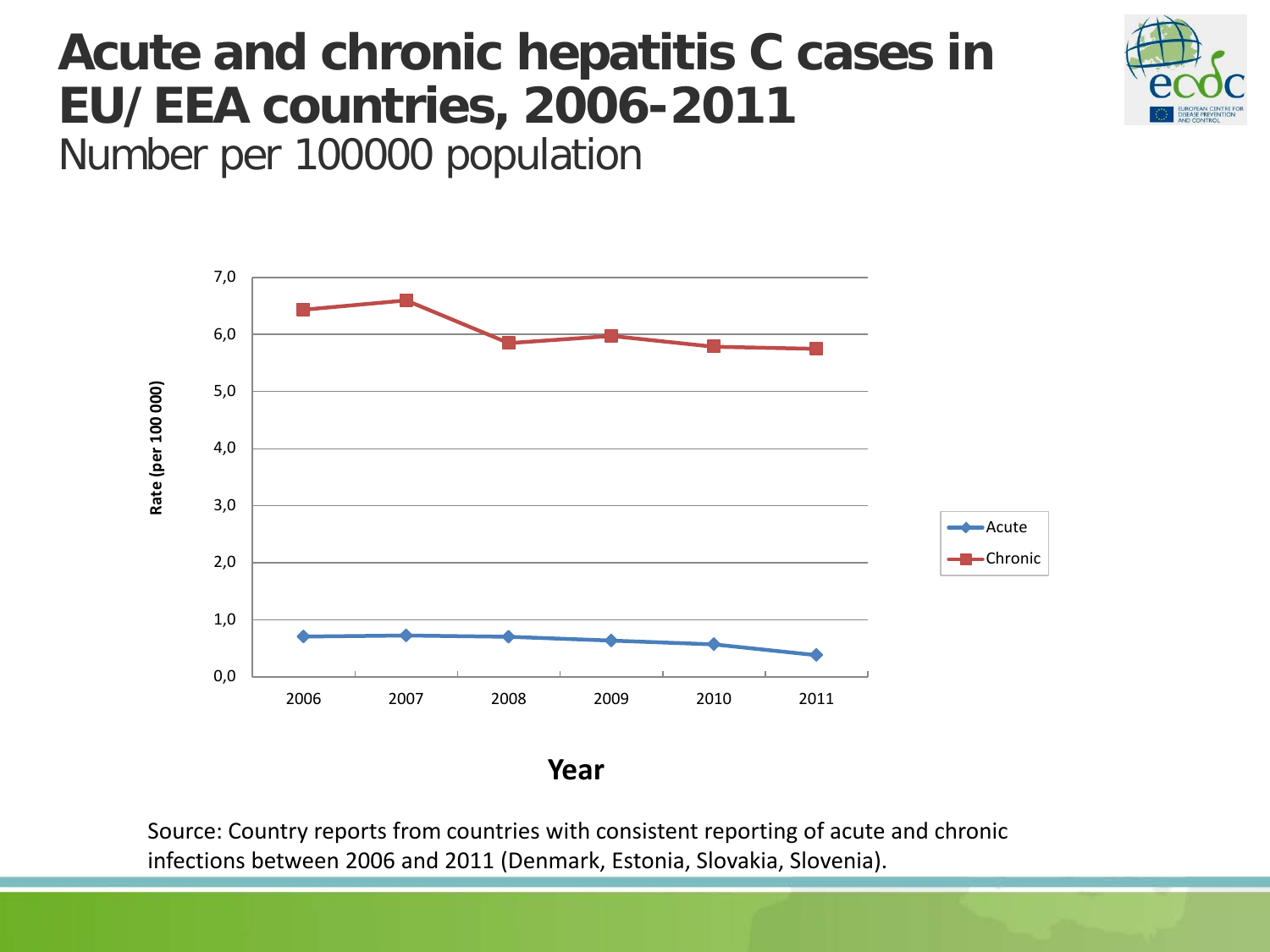## **Acute and chronic hepatitis C cases in EU/EEA countries, 2006-2011**



Number per 100000 population



**Year**

Source: Country reports from countries with consistent reporting of acute and chronic infections between 2006 and 2011 (Denmark, Estonia, Slovakia, Slovenia).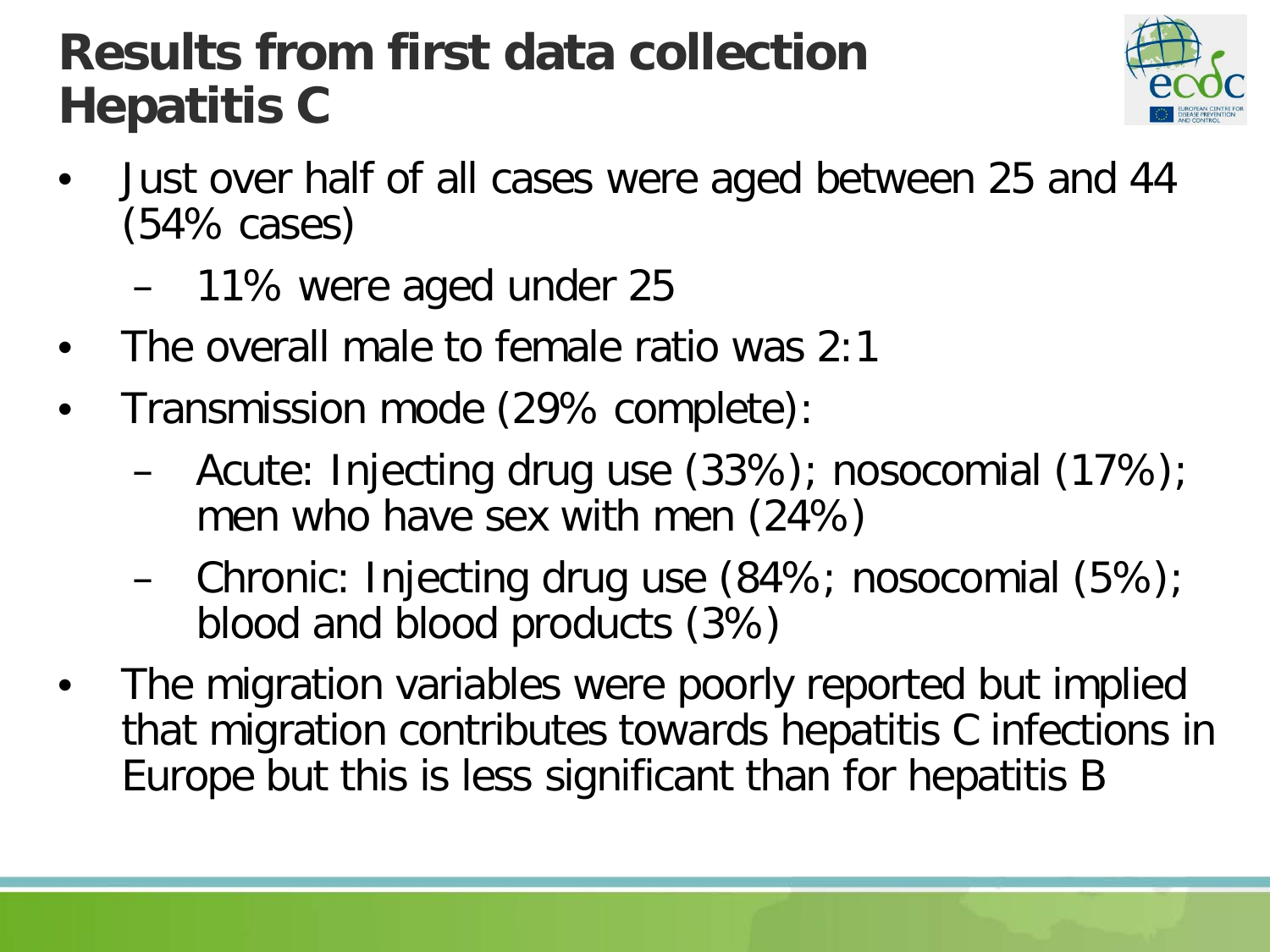#### **Results from first data collection Hepatitis C**



- Just over half of all cases were aged between 25 and 44 (54% cases)
	- 11% were aged under 25
- The overall male to female ratio was 2:1
- Transmission mode (29% complete):
	- Acute: Injecting drug use (33%); nosocomial (17%); men who have sex with men (24%)
	- Chronic: Injecting drug use (84%; nosocomial (5%); blood and blood products (3%)
- The migration variables were poorly reported but implied that migration contributes towards hepatitis C infections in Europe but this is less significant than for hepatitis B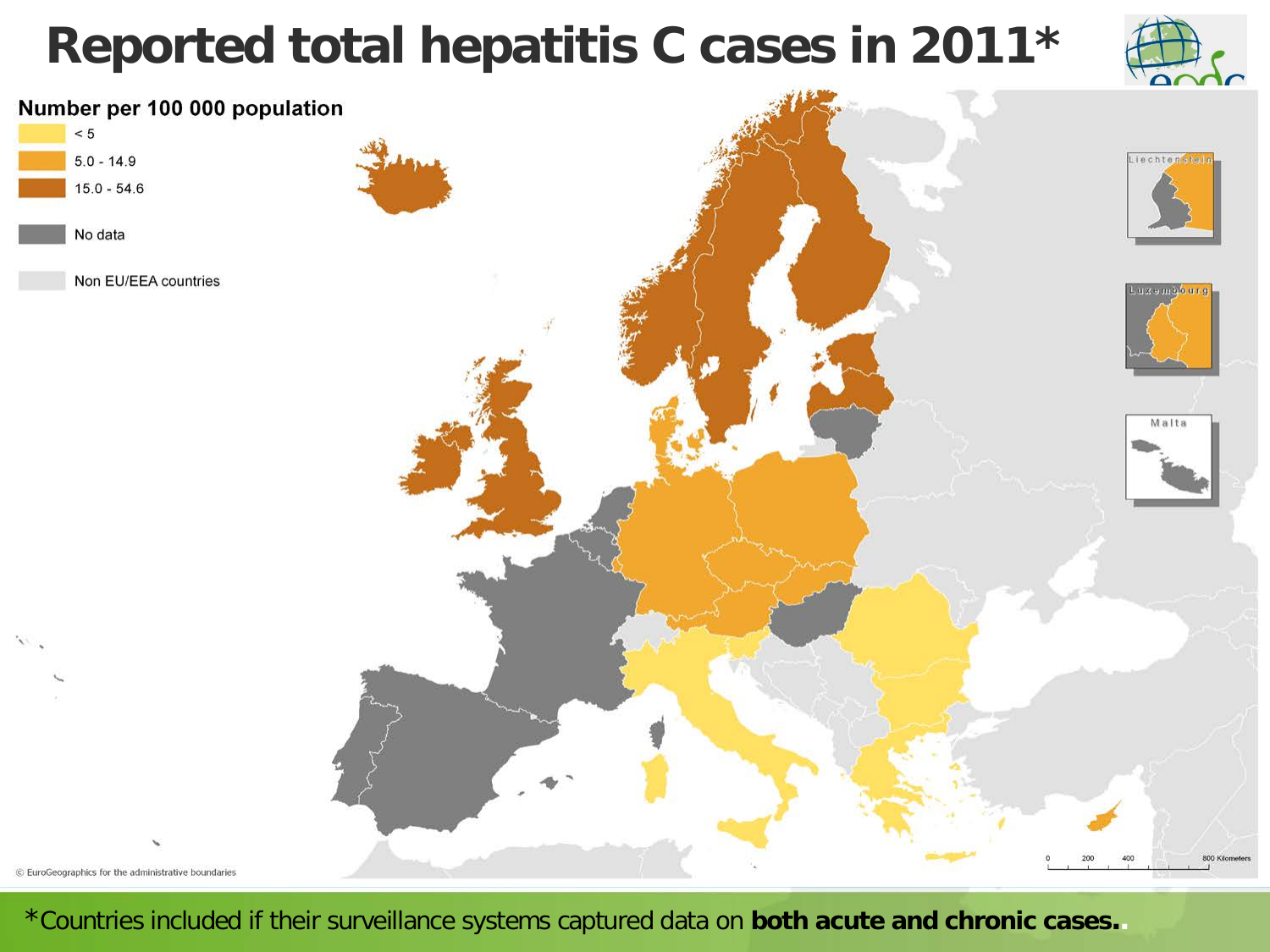#### **Reported total hepatitis C cases in 2011\***





\*Countries included if their surveillance systems captured data on **both acute and chronic cases..**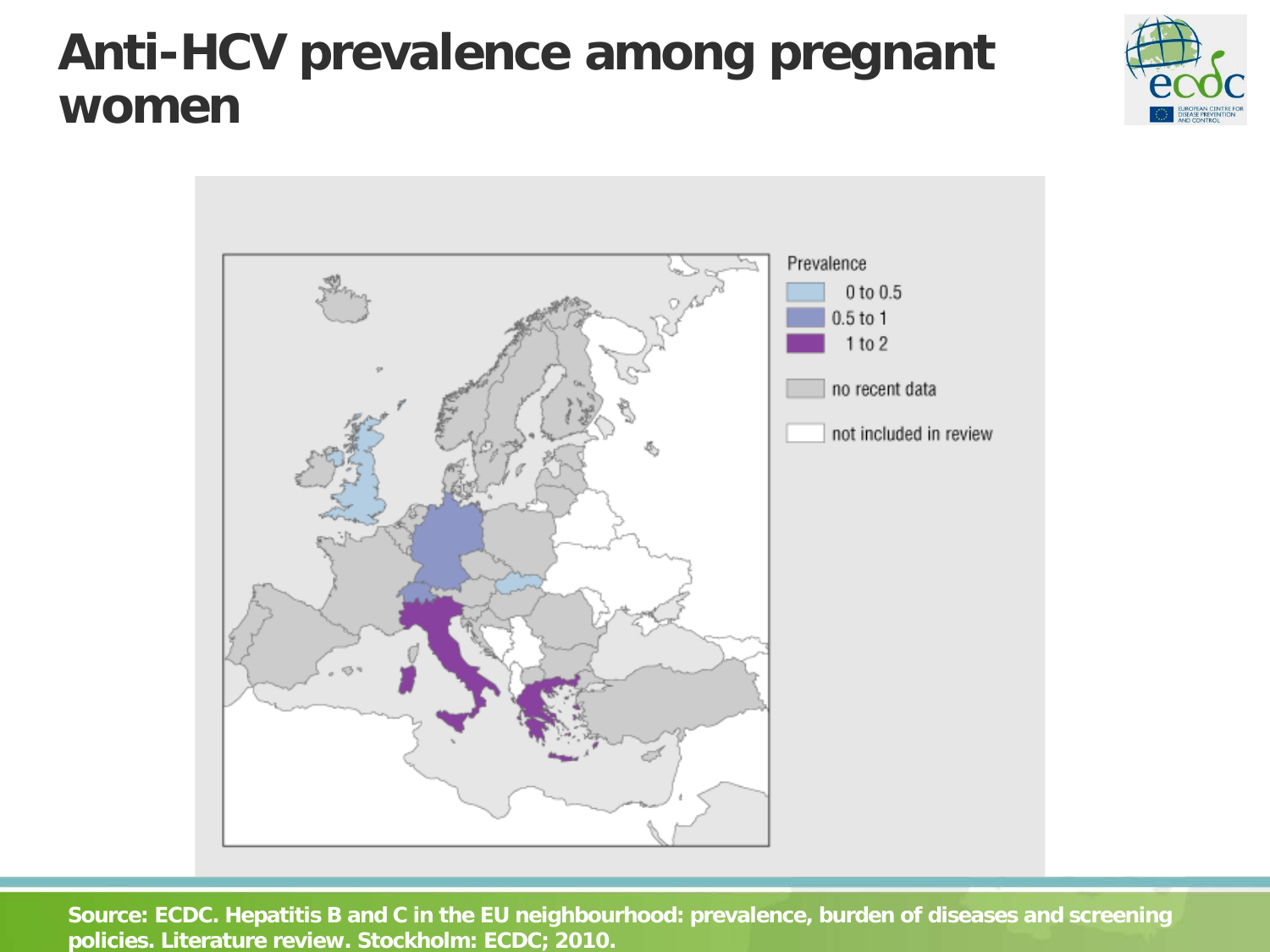#### **Anti-HCV prevalence among pregnant women**





**Source: ECDC. Hepatitis B and C in the EU neighbourhood: prevalence, burden of diseases and screening policies. Literature review. Stockholm: ECDC; 2010.**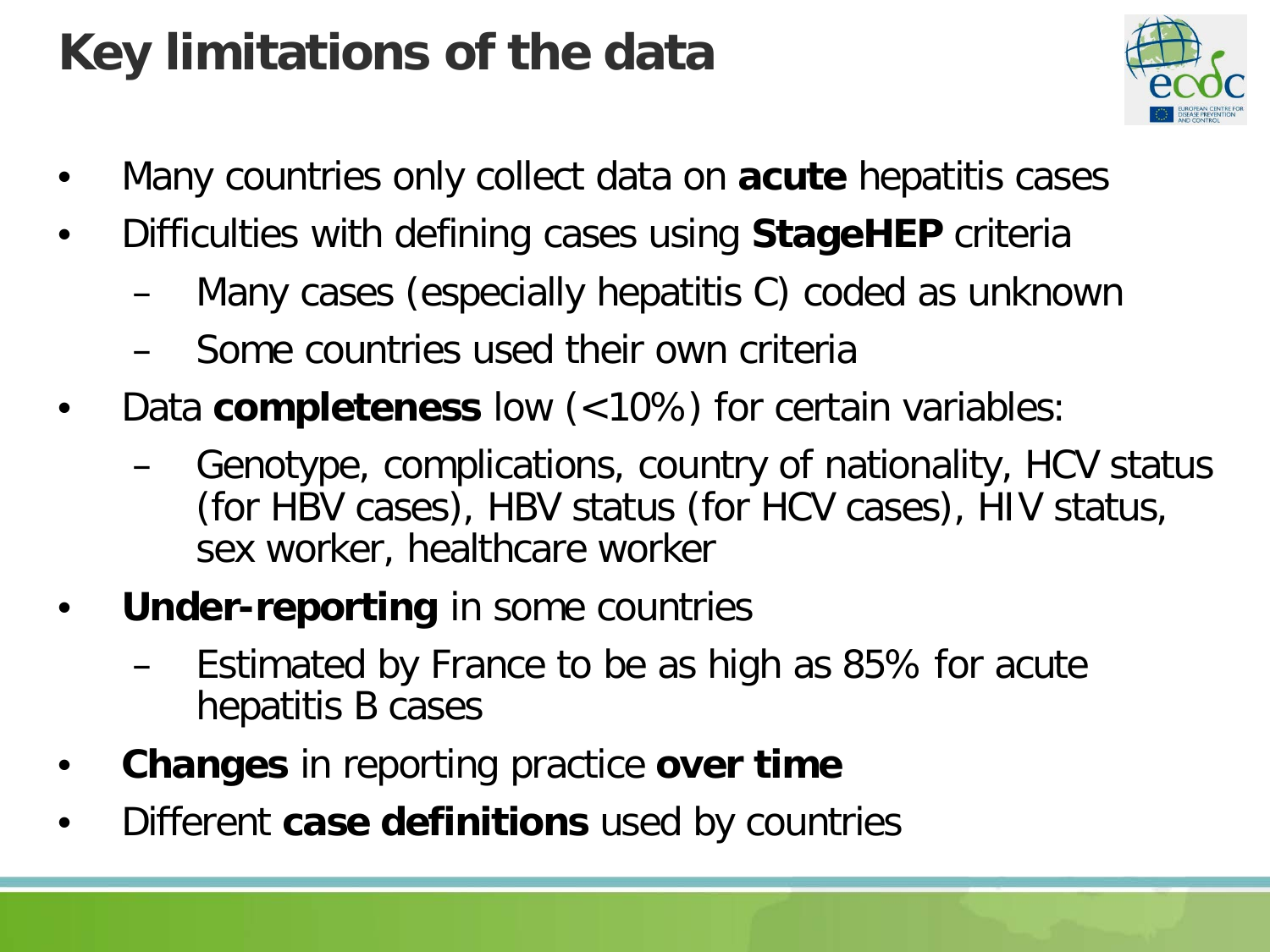## **Key limitations of the data**



- Many countries only collect data on **acute** hepatitis cases
- Difficulties with defining cases using **StageHEP** criteria
	- Many cases (especially hepatitis C) coded as unknown
	- Some countries used their own criteria
- Data **completeness** low (<10%) for certain variables:
	- Genotype, complications, country of nationality, HCV status (for HBV cases), HBV status (for HCV cases), HIV status, sex worker, healthcare worker
- **Under-reporting** in some countries
	- Estimated by France to be as high as 85% for acute hepatitis B cases
- **Changes** in reporting practice **over time**
- Different **case definitions** used by countries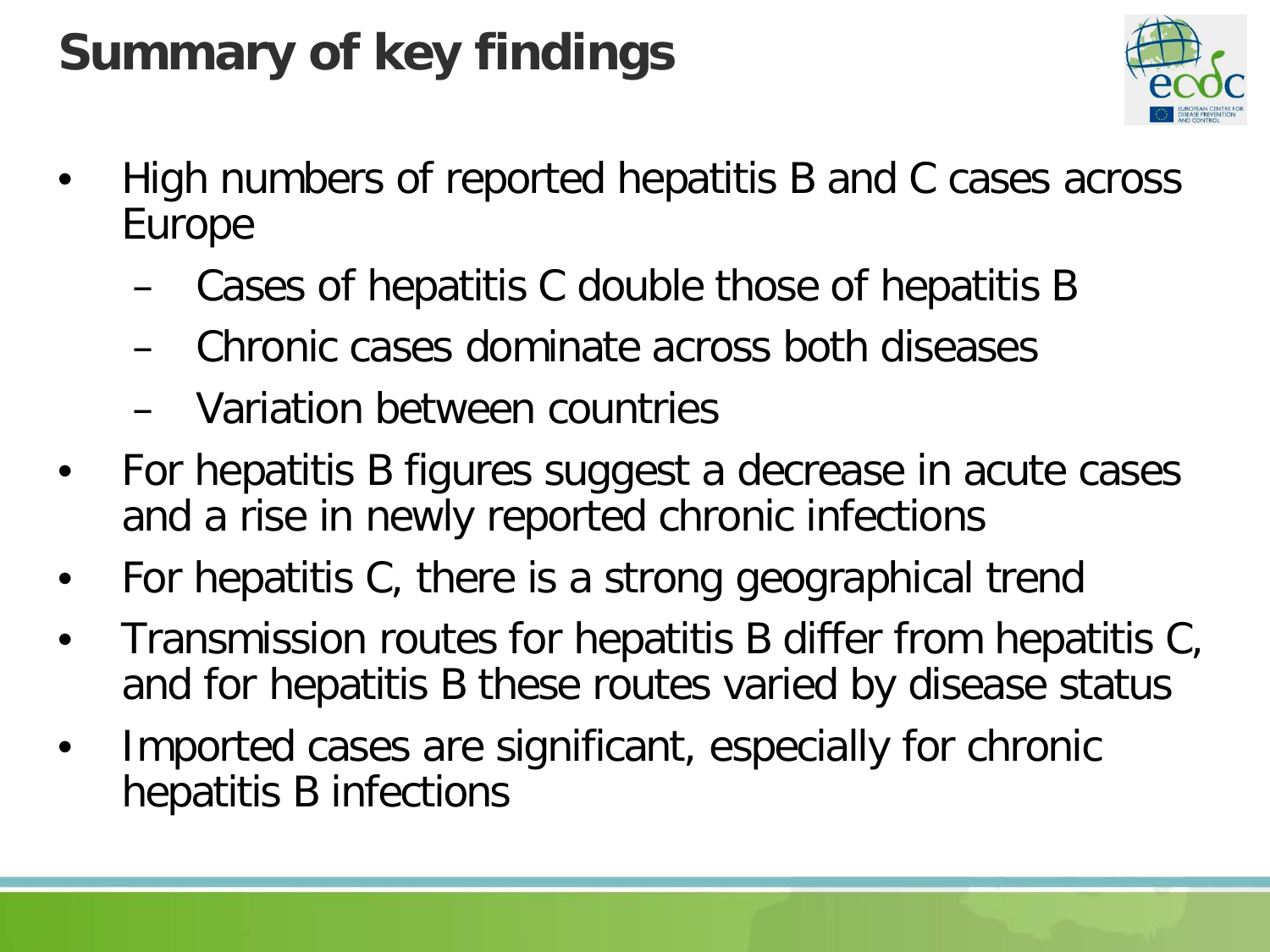# **Summary of key findings**



- High numbers of reported hepatitis B and C cases across Europe
	- Cases of hepatitis C double those of hepatitis B
	- Chronic cases dominate across both diseases
	- Variation between countries
- For hepatitis B figures suggest a decrease in acute cases and a rise in newly reported chronic infections
- For hepatitis C, there is a strong geographical trend
- Transmission routes for hepatitis B differ from hepatitis C, and for hepatitis B these routes varied by disease status
- Imported cases are significant, especially for chronic hepatitis B infections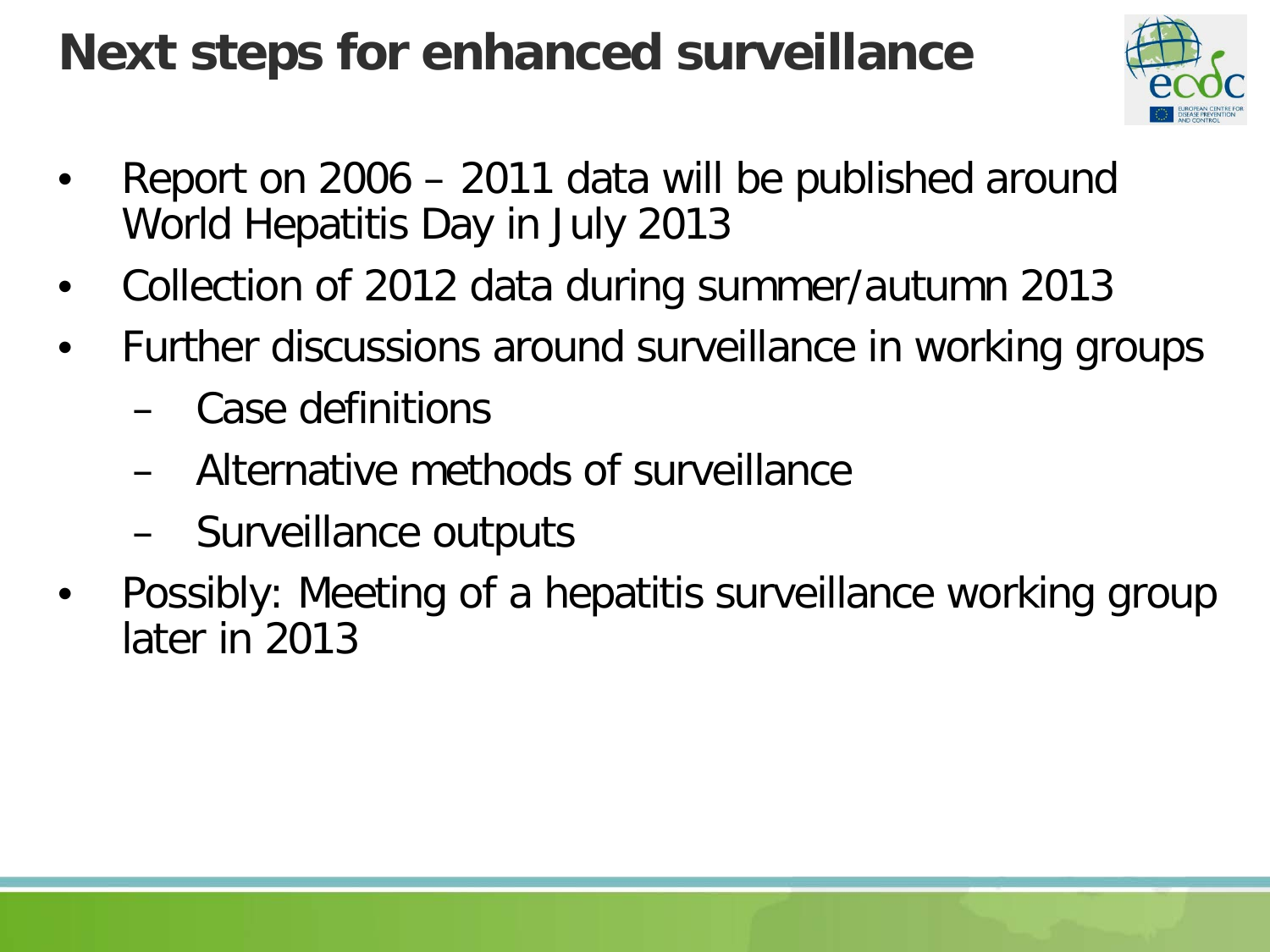## **Next steps for enhanced surveillance**



- Report on 2006 2011 data will be published around World Hepatitis Day in July 2013
- Collection of 2012 data during summer/autumn 2013
- Further discussions around surveillance in working groups
	- Case definitions
	- Alternative methods of surveillance
	- Surveillance outputs
- Possibly: Meeting of a hepatitis surveillance working group later in 2013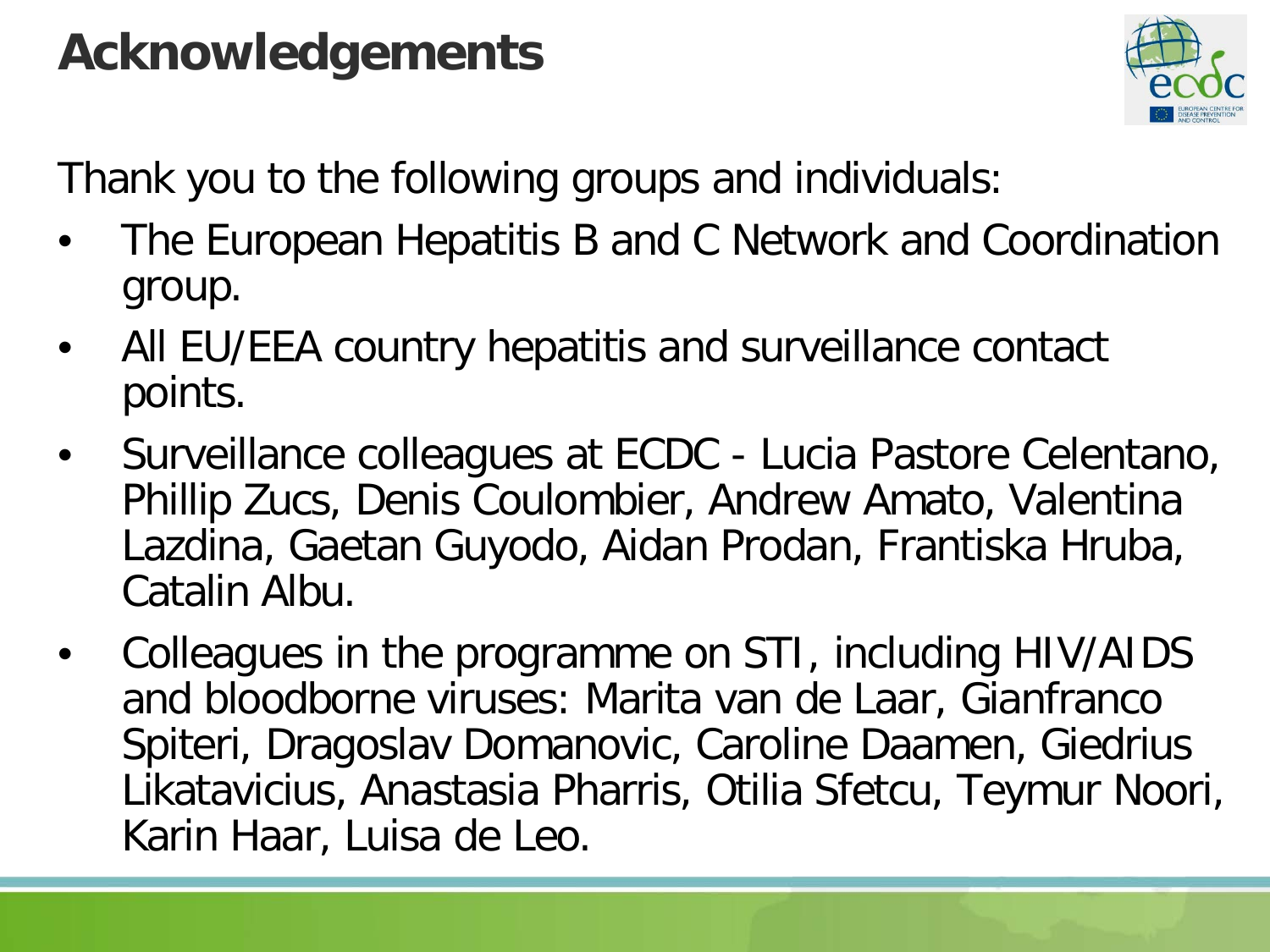#### **Acknowledgements**



Thank you to the following groups and individuals:

- The European Hepatitis B and C Network and Coordination group.
- All EU/EEA country hepatitis and surveillance contact points.
- Surveillance colleagues at ECDC Lucia Pastore Celentano, Phillip Zucs, Denis Coulombier, Andrew Amato, Valentina Lazdina, Gaetan Guyodo, Aidan Prodan, Frantiska Hruba, Catalin Albu.
- Colleagues in the programme on STI, including HIV/AIDS and bloodborne viruses: Marita van de Laar, Gianfranco Spiteri, Dragoslav Domanovic, Caroline Daamen, Giedrius Likatavicius, Anastasia Pharris, Otilia Sfetcu, Teymur Noori, Karin Haar, Luisa de Leo.